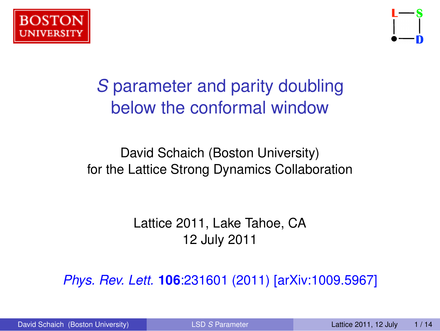



# *S* parameter and parity doubling below the conformal window

#### David Schaich (Boston University) for the Lattice Strong Dynamics Collaboration

<span id="page-0-0"></span>Lattice 2011, Lake Tahoe, CA 12 July 2011

*[Phys. Rev. Lett.](http://dx.doi.org/10.1103/PhysRevLett.106.231601)* **106**:231601 (2011) [\[arXiv:1009.5967\]](http://arxiv.org/abs/1009.5967)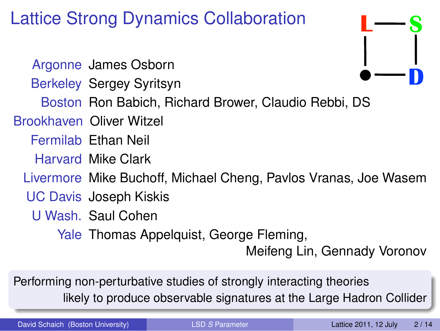# Lattice Strong Dynamics Collaboration

Argonne James Osborn Berkeley Sergey Syritsyn Boston Ron Babich, Richard Brower, Claudio Rebbi, DS Brookhaven Oliver Witzel Fermilab Ethan Neil Harvard Mike Clark Livermore Mike Buchoff, Michael Cheng, Pavlos Vranas, Joe Wasem UC Davis Joseph Kiskis U Wash. Saul Cohen Yale Thomas Appelquist, George Fleming, Meifeng Lin, Gennady Voronov

Performing non-perturbative studies of strongly interacting theories likely to produce observable signatures at the Large Hadron Collider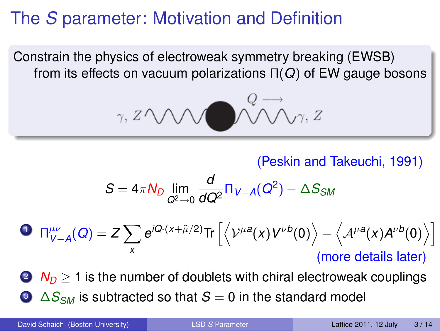## The *S* parameter: Motivation and Definition

Constrain the physics of electroweak symmetry breaking (EWSB) from its effects on vacuum polarizations Π(*Q*) of EW gauge bosons

$$
\gamma, Z \wedge \wedge \wedge \vee \wedge \wedge \wedge \wedge \vee \gamma, Z
$$

(Peskin and Takeuchi, 1991)

$$
S = 4\pi N_D \lim_{Q^2 \to 0} \frac{d}{dQ^2} \Pi_{V-A}(Q^2) - \Delta S_{SM}
$$

$$
\begin{aligned}\n\mathbf{O} \ \Pi_{V-A}^{\mu\nu}(Q) &= Z \sum_{x} e^{iQ \cdot (x+\widehat{\mu}/2)} \text{Tr} \left[ \left\langle \mathcal{V}^{\mu a}(x) V^{\nu b}(0) \right\rangle - \left\langle A^{\mu a}(x) A^{\nu b}(0) \right\rangle \right] \\
&\text{(more details later)}\n\end{aligned}
$$

 $2 N_D > 1$  is the number of doublets with chiral electroweak couplings <sup>3</sup> ∆*SSM* is subtracted so that *S* = 0 in the standard model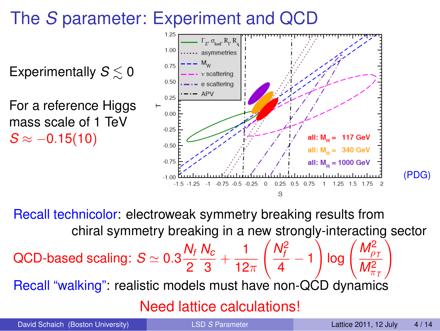# The *S* parameter: Experiment and QCD

Experimentally  $S \leq 0$ For a reference Higgs mass scale of 1 TeV  $S \approx -0.15(10)$ 



Recall technicolor: electroweak symmetry breaking results from chiral symmetry breaking in a new strongly-interacting sector QCD-based scaling:  $S \simeq 0.3 \frac{N_f}{\Omega}$ 2 *Nc*  $\frac{\mathsf{V}_c}{3} + \frac{1}{12}$ 12 $\pi$  $\left(\frac{N_f^2}{I}\right)$  $\frac{4}{4}$  – 1  $\bigcap$  log  $\bigg(\frac{M_{\rho_7}^2}{M^2}\bigg)$  $M_{\pi}^2$  $\setminus$ Recall "walking": realistic models must have non-QCD dynamics Need lattice calculations!

(PDG)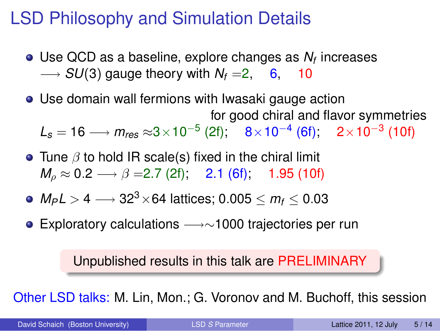## LSD Philosophy and Simulation Details

- Use QCD as a baseline, explore changes as *N<sup>f</sup>* increases  $\rightarrow$  *SU*(3) gauge theory with  $N_f = 2$ , 6, 10
- Use domain wall fermions with Iwasaki gauge action for good chiral and flavor symmetries

 $\mathcal{L}_\mathcal{s}=16 \longrightarrow m_\mathsf{res} \approx 3 \times 10^{-5} \ (2\mathfrak{f}); \quad 8 \times 10^{-4} \ (6\mathfrak{f}); \quad 2 \times 10^{-3} \ (10\mathfrak{f})$ 

- Tune  $\beta$  to hold IR scale(s) fixed in the chiral limit  $M_0 \approx 0.2 \longrightarrow \beta = 2.7$  (2f); 2.1 (6f); 1.95 (10f)
- *MPL* > 4 −→ 323×64 lattices; 0.005 ≤ *m<sup>f</sup>* ≤ 0.03
- Exploratory calculations −→∼1000 trajectories per run

Unpublished results in this talk are PRELIMINARY

Other LSD talks: M. Lin, Mon.; G. Voronov and M. Buchoff, this session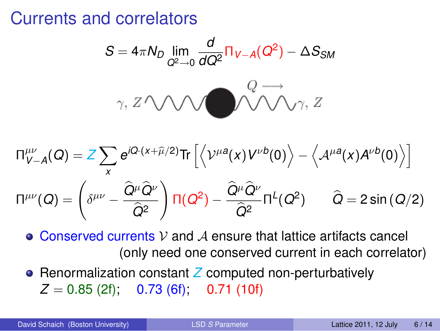## Currents and correlators

$$
S = 4\pi N_D \lim_{Q^2 \to 0} \frac{d}{dQ^2} \Pi_{V-A}(Q^2) - \Delta S_{SM}
$$

$$
\gamma, Z \wedge \bigwedge \wedge \bigwedge \bigwedge^{Q \longrightarrow} \bigwedge \gamma, Z
$$

$$
\Pi^{\mu\nu}_{V-A}(Q) = Z \sum_{x} e^{iQ \cdot (x+\widehat{\mu}/2)} \text{Tr} \left[ \left\langle \mathcal{V}^{\mu a}(x) V^{\nu b}(0) \right\rangle - \left\langle A^{\mu a}(x) A^{\nu b}(0) \right\rangle \right]
$$

$$
\Pi^{\mu\nu}(Q) = \left( \delta^{\mu\nu} - \frac{\widehat{Q}^{\mu}\widehat{Q}^{\nu}}{\widehat{Q}^{2}} \right) \Pi(Q^{2}) - \frac{\widehat{Q}^{\mu}\widehat{Q}^{\nu}}{\widehat{Q}^{2}} \Pi^{L}(Q^{2}) \qquad \widehat{Q} = 2 \sin{(Q/2)}
$$

 $\bullet$  Conserved currents V and A ensure that lattice artifacts cancel (only need one conserved current in each correlator)

● Renormalization constant **Z** computed non-perturbatively  $Z = 0.85$  (2f); 0.73 (6f); 0.71 (10f)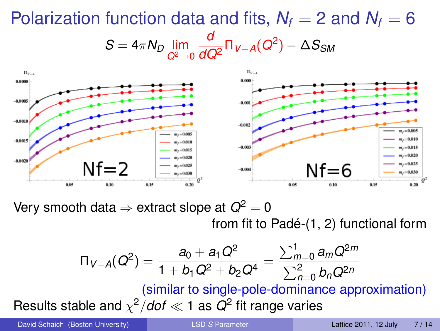#### Polarization function data and fits,  $N_f = 2$  and  $N_f = 6$  $S = 4\pi N_D \lim_{Q^2 \to 0}$ *d*  $\frac{d}{dQ^2} \Pi_{V-A}(Q^2) - \Delta S_{SM}$



Very smooth data  $\Rightarrow$  extract slope at  $Q^2 = 0$ 

from fit to Padé-(1, 2) functional form

$$
\Pi_{V-A}(Q^2) = \frac{a_0 + a_1 Q^2}{1 + b_1 Q^2 + b_2 Q^4} = \frac{\sum_{m=0}^{1} a_m Q^{2m}}{\sum_{n=0}^{2} b_n Q^{2n}}
$$
  
(similar to single-pole-dominance approximation)  
Results stable and  $\chi^2/dof \ll 1$  as  $Q^2$  fit range varies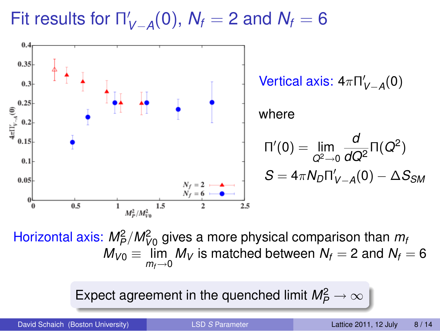Fit results for Π' *V*−*A* (0), *N<sup>f</sup>* = 2 and *N<sup>f</sup>* = 6



Horizontal axis:  $M_P^2/M_{V0}^2$  gives a more physical comparison than  $m_i$  $M_{V0} \equiv \lim_{m_f \rightarrow 0} M_V$  is matched between  $N_f=2$  and  $N_f=6$ 

Expect agreement in the quenched limit  $\mathit{M_P^2}\rightarrow\infty$ 

David Schaich (Boston University) LSD *S* [Parameter](#page-0-0) Lattice 2011, 12 July 8 / 14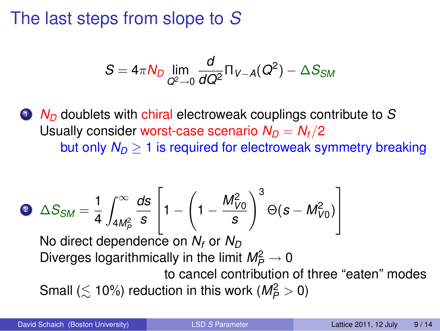## The last steps from slope to *S*

$$
S=4\pi N_D\lim_{Q^2\to 0}\frac{d}{dQ^2}\Pi_{V-A}(Q^2)-\Delta S_{SM}
$$

<sup>1</sup> *N<sup>D</sup>* doublets with chiral electroweak couplings contribute to *S* Usually consider worst-case scenario  $N_D = N_f/2$ but only  $N_D \geq 1$  is required for electroweak symmetry breaking

$$
\bullet \quad \Delta S_{SM} = \frac{1}{4} \int_{4M_P^2}^{\infty} \frac{ds}{s} \left[ 1 - \left( 1 - \frac{M_{V0}^2}{s} \right)^3 \Theta(s - M_{V0}^2) \right]
$$

No direct dependence on  $N_f$  or  $N_D$ Diverges logarithmically in the limit  $M_P^2 \rightarrow 0$ 

to cancel contribution of three "eaten" modes Small ( $\lesssim$  10%) reduction in this work ( $M_P^2 > 0$ )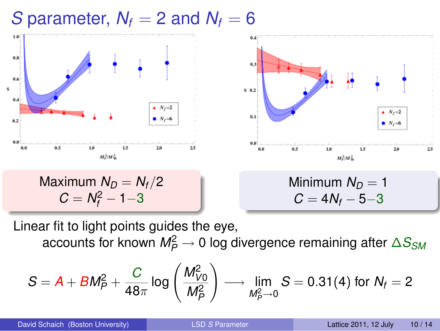## *S* parameter,  $N_f = 2$  and  $N_f = 6$



Linear fit to light points guides the eye, accounts for known  $\mathit{M_P^2}\rightarrow 0$  log divergence remaining after  $\Delta S_{SM}$ 

$$
S = A + BM_P^2 + \frac{C}{48\pi} \log \left( \frac{M_{V0}^2}{M_P^2} \right) \longrightarrow \lim_{M_P^2 \to 0} S = 0.31(4) \text{ for } N_f = 2
$$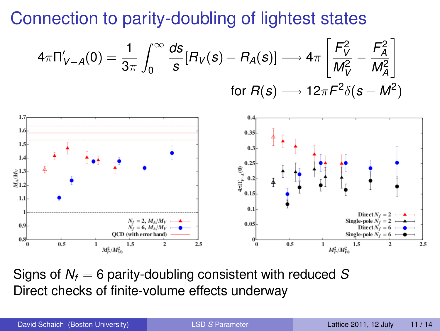Connection to parity-doubling of lightest states

$$
4\pi \Pi'_{V-A}(0) = \frac{1}{3\pi} \int_0^\infty \frac{ds}{s} [R_V(s) - R_A(s)] \longrightarrow 4\pi \left[ \frac{F_V^2}{M_V^2} - \frac{F_A^2}{M_A^2} \right]
$$
  
for  $R(s) \longrightarrow 12\pi F^2 \delta(s - M^2)$ 



Signs of *N<sup>f</sup>* = 6 parity-doubling consistent with reduced *S* Direct checks of finite-volume effects underway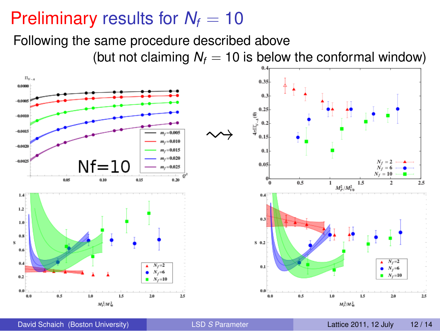## Preliminary results for  $N_f = 10$

Following the same procedure described above

(but not claiming  $N_f = 10$  is below the conformal window)

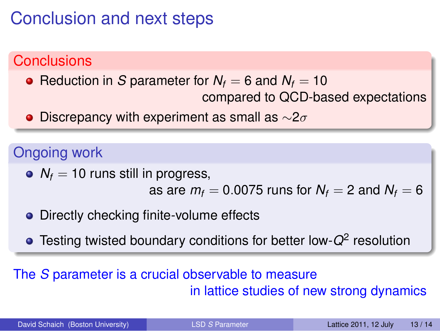## Conclusion and next steps

## **Conclusions**

- Reduction in *S* parameter for  $N_f = 6$  and  $N_f = 10$ compared to QCD-based expectations
- Discrepancy with experiment as small as  $\sim$ 2 $\sigma$

### Ongoing work

 $N_f$  = 10 runs still in progress,

as are  $m_f = 0.0075$  runs for  $N_f = 2$  and  $N_f = 6$ 

- Directly checking finite-volume effects
- Testing twisted boundary conditions for better low-*Q*<sup>2</sup> resolution

#### The *S* parameter is a crucial observable to measure in lattice studies of new strong dynamics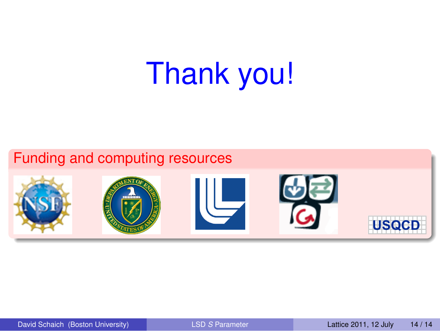# Thank you!

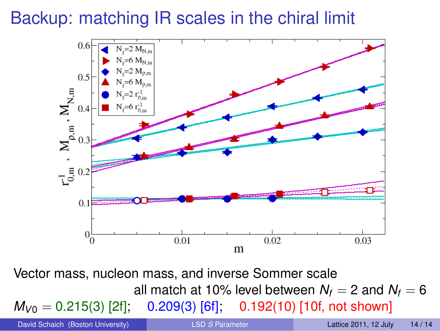## Backup: matching IR scales in the chiral limit



Vector mass, nucleon mass, and inverse Sommer scale all match at 10% level between  $N_f = 2$  and  $N_f = 6$  $M_{V0} = 0.215(3)$  [2f]; 0.209(3) [6f]; 0.192(10) [10f, not shown]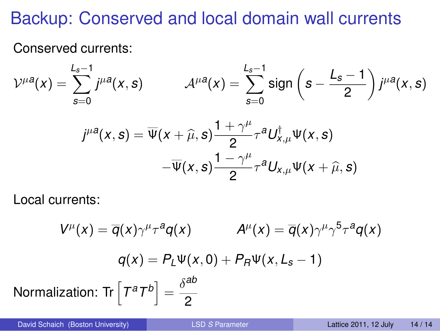## Backup: Conserved and local domain wall currents

Conserved currents:

$$
\mathcal{V}^{\mu a}(x) = \sum_{s=0}^{L_s-1} j^{\mu a}(x, s) \qquad \mathcal{A}^{\mu a}(x) = \sum_{s=0}^{L_s-1} sign\left(s - \frac{L_s-1}{2}\right) j^{\mu a}(x, s)
$$

$$
j^{\mu a}(x, s) = \overline{\Psi}(x + \widehat{\mu}, s) \frac{1 + \gamma^{\mu}}{2} \tau^{a} U_{x, \mu}^{\dagger} \Psi(x, s)
$$

$$
- \overline{\Psi}(x, s) \frac{1 - \gamma^{\mu}}{2} \tau^{a} U_{x, \mu} \Psi(x + \widehat{\mu}, s)
$$

Local currents:

$$
V^{\mu}(x) = \overline{q}(x)\gamma^{\mu} \tau^{a} q(x) \qquad A^{\mu}(x) = \overline{q}(x)\gamma^{\mu} \gamma^{5} \tau^{a} q(x)
$$

$$
q(x) = P_{L} \Psi(x, 0) + P_{R} \Psi(x, L_{s} - 1)
$$
Normalization: Tr $\left[T^{a} T^{b}\right] = \frac{\delta^{ab}}{2}$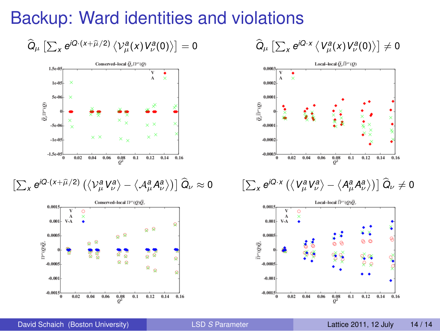## Backup: Ward identities and violations

 $\left[ Q_\mu \left[ \sum_X e^{iQ\cdot (x+\widehat{\mu}/2)} \left\langle \mathcal{V}^{\boldsymbol{a}}_\mu(x) V^{\boldsymbol{a}}_\nu(0) \right\rangle \right] = 0 \right]$ 



$$
\left[\textstyle\sum_{x}e^{iQ\cdot(x+\widehat{\mu}/2)}\left(\left<\mathcal{V}_{\mu}^{a}\mathcal{V}_{\nu}^{a}\right>-\left<\mathcal{A}_{\mu}^{a}\mathcal{A}_{\nu}^{a}\right>\right)\right]\widehat{Q}_{\nu}\approx0
$$



$$
\widehat{Q}_\mu \left[ \textstyle\sum_x e^{iQ\cdot x} \left\langle V_\mu^a(x) V_\nu^a(0) \right\rangle \right] \neq 0
$$





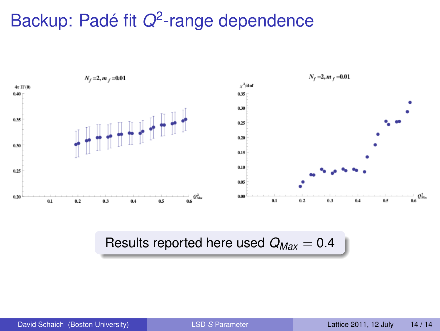# Backup: Padé fit *Q*<sup>2</sup>-range dependence



#### Results reported here used *QMax* = 0.4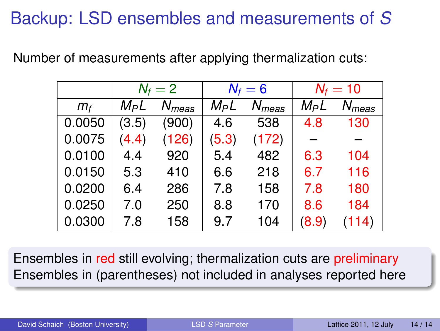## Backup: LSD ensembles and measurements of *S*

Number of measurements after applying thermalization cuts:

|         | $N_f=2$ |            | $N_f=6$ |            | $N_f = 10$ |            |
|---------|---------|------------|---------|------------|------------|------------|
| $m_{f}$ | $M_P L$ | $N_{meas}$ | $M_P L$ | $N_{meas}$ | $M_P L$    | $N_{meas}$ |
| 0.0050  | (3.5)   | (900)      | 4.6     | 538        | 4.8        | 130        |
| 0.0075  | (4.4)   | (126)      | (5.3)   | (172)      |            |            |
| 0.0100  | 4.4     | 920        | 5.4     | 482        | 6.3        | 104        |
| 0.0150  | 5.3     | 410        | 6.6     | 218        | 6.7        | 116        |
| 0.0200  | 6.4     | 286        | 7.8     | 158        | 7.8        | 180        |
| 0.0250  | 7.0     | 250        | 8.8     | 170        | 8.6        | 184        |
| 0.0300  | 7.8     | 158        | 9.7     | 104        | (8.9)      | (114)      |

Ensembles in red still evolving; thermalization cuts are preliminary Ensembles in (parentheses) not included in analyses reported here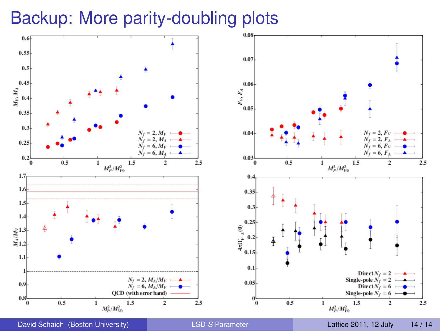## Backup: More parity-doubling plots



 $2.5$ 

 $2.5$